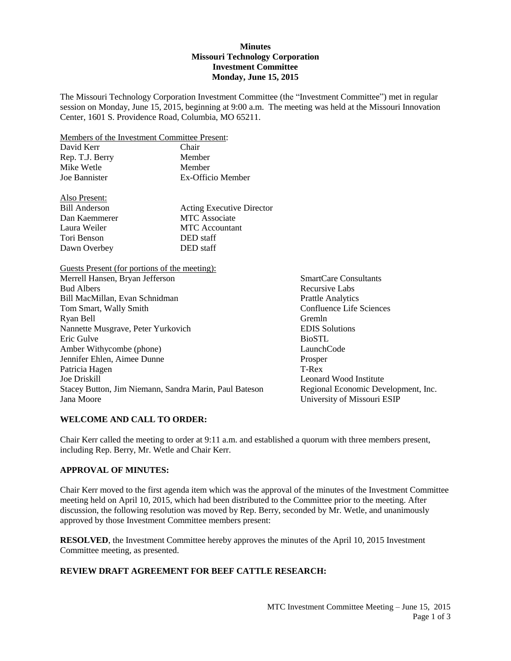#### **Minutes Missouri Technology Corporation Investment Committee Monday, June 15, 2015**

The Missouri Technology Corporation Investment Committee (the "Investment Committee") met in regular session on Monday, June 15, 2015, beginning at 9:00 a.m. The meeting was held at the Missouri Innovation Center, 1601 S. Providence Road, Columbia, MO 65211.

Members of the Investment Committee Present:

| David Kerr      | Chair             |
|-----------------|-------------------|
| Rep. T.J. Berry | Member            |
| Mike Wetle      | Member            |
| Joe Bannister   | Ex-Officio Member |

| Also Present:        |                                  |
|----------------------|----------------------------------|
| <b>Bill Anderson</b> | <b>Acting Executive Director</b> |
| Dan Kaemmerer        | <b>MTC</b> Associate             |
| Laura Weiler         | <b>MTC</b> Accountant            |
| Tori Benson          | DED staff                        |
| Dawn Overbey         | DED staff                        |

Guests Present (for portions of the meeting): Merrell Hansen, Bryan Jefferson SmartCare Consultants Bud Albers **Recursive Labs** Recursive Labs Bill MacMillan, Evan Schnidman Prattle Analytics Tom Smart, Wally Smith Confluence Life Sciences Ryan Bell Gremln Nannette Musgrave, Peter Yurkovich EDIS Solutions Eric Gulve BioSTL Amber Withycombe (phone) LaunchCode Jennifer Ehlen, Aimee Dunne Prosper Patricia Hagen T-Rex Joe Driskill Leonard Wood Institute Stacey Button, Jim Niemann, Sandra Marin, Paul Bateson Regional Economic Development, Inc. Jana Moore University of Missouri ESIP

### **WELCOME AND CALL TO ORDER:**

Chair Kerr called the meeting to order at 9:11 a.m. and established a quorum with three members present, including Rep. Berry, Mr. Wetle and Chair Kerr.

### **APPROVAL OF MINUTES:**

Chair Kerr moved to the first agenda item which was the approval of the minutes of the Investment Committee meeting held on April 10, 2015, which had been distributed to the Committee prior to the meeting. After discussion, the following resolution was moved by Rep. Berry, seconded by Mr. Wetle, and unanimously approved by those Investment Committee members present:

**RESOLVED**, the Investment Committee hereby approves the minutes of the April 10, 2015 Investment Committee meeting, as presented.

# **REVIEW DRAFT AGREEMENT FOR BEEF CATTLE RESEARCH:**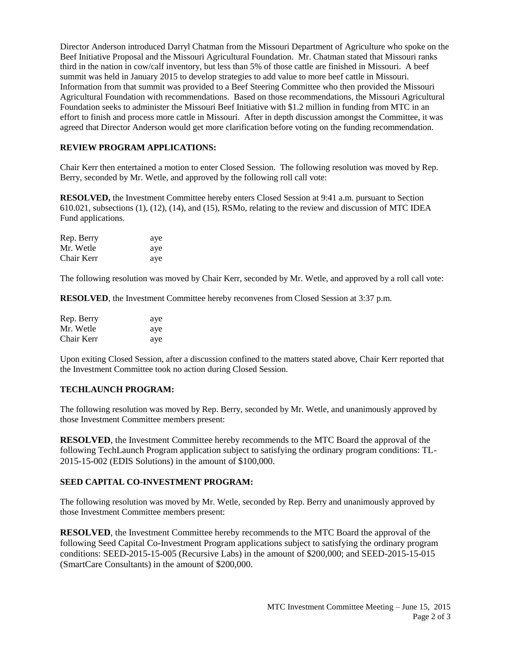Director Anderson introduced Darryl Chatman from the Missouri Department of Agriculture who spoke on the Beef Initiative Proposal and the Missouri Agricultural Foundation. Mr. Chatman stated that Missouri ranks third in the nation in cow/calf inventory, but less than 5% of those cattle are finished in Missouri. A beef summit was held in January 2015 to develop strategies to add value to more beef cattle in Missouri. Information from that summit was provided to a Beef Steering Committee who then provided the Missouri Agricultural Foundation with recommendations. Based on those recommendations, the Missouri Agricultural Foundation seeks to administer the Missouri Beef Initiative with \$1.2 million in funding from MTC in an effort to finish and process more cattle in Missouri. After in depth discussion amongst the Committee, it was agreed that Director Anderson would get more clarification before voting on the funding recommendation.

## **REVIEW PROGRAM APPLICATIONS:**

Chair Kerr then entertained a motion to enter Closed Session. The following resolution was moved by Rep. Berry, seconded by Mr. Wetle, and approved by the following roll call vote:

**RESOLVED,** the Investment Committee hereby enters Closed Session at 9:41 a.m. pursuant to Section 610.021, subsections (1), (12), (14), and (15), RSMo, relating to the review and discussion of MTC IDEA Fund applications.

| Rep. Berry | aye |
|------------|-----|
| Mr. Wetle  | aye |
| Chair Kerr | aye |

The following resolution was moved by Chair Kerr, seconded by Mr. Wetle, and approved by a roll call vote:

**RESOLVED**, the Investment Committee hereby reconvenes from Closed Session at 3:37 p.m.

| Rep. Berry | aye |
|------------|-----|
| Mr. Wetle  | aye |
| Chair Kerr | aye |

Upon exiting Closed Session, after a discussion confined to the matters stated above, Chair Kerr reported that the Investment Committee took no action during Closed Session.

### **TECHLAUNCH PROGRAM:**

The following resolution was moved by Rep. Berry, seconded by Mr. Wetle, and unanimously approved by those Investment Committee members present:

**RESOLVED**, the Investment Committee hereby recommends to the MTC Board the approval of the following TechLaunch Program application subject to satisfying the ordinary program conditions: TL-2015-15-002 (EDIS Solutions) in the amount of \$100,000.

### **SEED CAPITAL CO-INVESTMENT PROGRAM:**

The following resolution was moved by Mr. Wetle, seconded by Rep. Berry and unanimously approved by those Investment Committee members present:

**RESOLVED**, the Investment Committee hereby recommends to the MTC Board the approval of the following Seed Capital Co-Investment Program applications subject to satisfying the ordinary program conditions: SEED-2015-15-005 (Recursive Labs) in the amount of \$200,000; and SEED-2015-15-015 (SmartCare Consultants) in the amount of \$200,000.